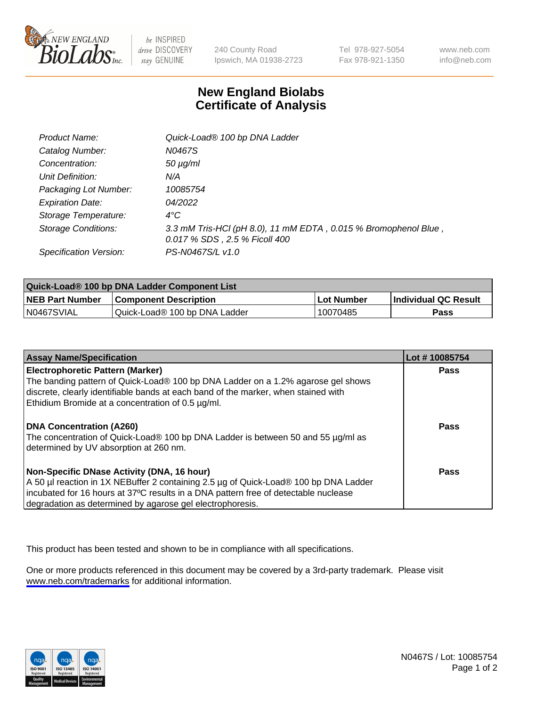

be INSPIRED drive DISCOVERY stay GENUINE

240 County Road Ipswich, MA 01938-2723 Tel 978-927-5054 Fax 978-921-1350

www.neb.com info@neb.com

## **New England Biolabs Certificate of Analysis**

| Product Name:              | Quick-Load® 100 bp DNA Ladder                                                                    |
|----------------------------|--------------------------------------------------------------------------------------------------|
| Catalog Number:            | N0467S                                                                                           |
| Concentration:             | $50 \mu g/ml$                                                                                    |
| Unit Definition:           | N/A                                                                                              |
| Packaging Lot Number:      | 10085754                                                                                         |
| <b>Expiration Date:</b>    | 04/2022                                                                                          |
| Storage Temperature:       | $4^{\circ}$ C                                                                                    |
| <b>Storage Conditions:</b> | 3.3 mM Tris-HCl (pH 8.0), 11 mM EDTA, 0.015 % Bromophenol Blue,<br>0.017 % SDS, 2.5 % Ficoll 400 |
| Specification Version:     | PS-N0467S/L v1.0                                                                                 |

| Quick-Load® 100 bp DNA Ladder Component List |                               |            |                             |  |
|----------------------------------------------|-------------------------------|------------|-----------------------------|--|
| <b>NEB Part Number</b>                       | <b>Component Description</b>  | Lot Number | <b>Individual QC Result</b> |  |
| N0467SVIAL                                   | Quick-Load® 100 bp DNA Ladder | 10070485   | <b>Pass</b>                 |  |

| <b>Assay Name/Specification</b>                                                                                                                                                                                                                                                        | Lot #10085754 |
|----------------------------------------------------------------------------------------------------------------------------------------------------------------------------------------------------------------------------------------------------------------------------------------|---------------|
| <b>Electrophoretic Pattern (Marker)</b><br>The banding pattern of Quick-Load® 100 bp DNA Ladder on a 1.2% agarose gel shows<br>discrete, clearly identifiable bands at each band of the marker, when stained with                                                                      | <b>Pass</b>   |
| Ethidium Bromide at a concentration of 0.5 µg/ml.                                                                                                                                                                                                                                      |               |
| <b>DNA Concentration (A260)</b><br>The concentration of Quick-Load® 100 bp DNA Ladder is between 50 and 55 µg/ml as<br>determined by UV absorption at 260 nm.                                                                                                                          | Pass          |
| Non-Specific DNase Activity (DNA, 16 hour)<br>A 50 µl reaction in 1X NEBuffer 2 containing 2.5 µg of Quick-Load® 100 bp DNA Ladder<br>incubated for 16 hours at 37°C results in a DNA pattern free of detectable nuclease<br>degradation as determined by agarose gel electrophoresis. | Pass          |

This product has been tested and shown to be in compliance with all specifications.

One or more products referenced in this document may be covered by a 3rd-party trademark. Please visit <www.neb.com/trademarks>for additional information.